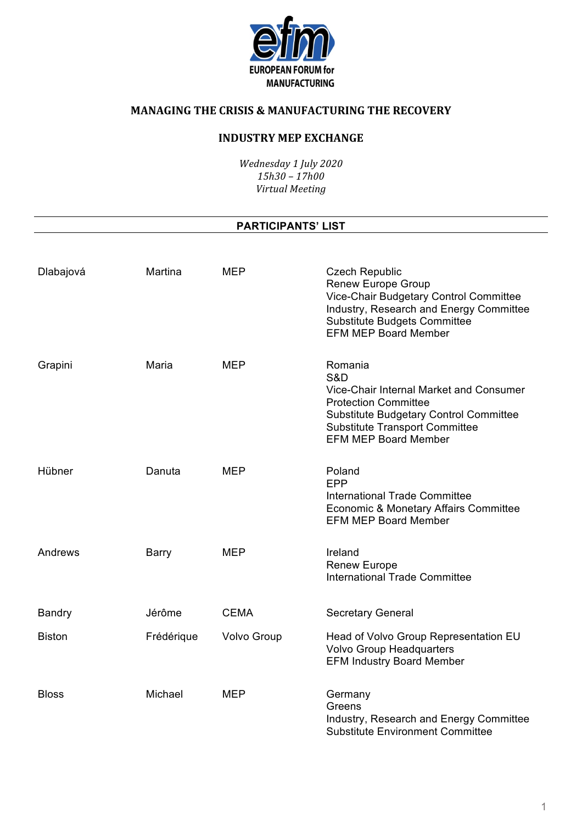

# **INDUSTRY MEP EXCHANGE**

*Wednesday 1 July 2020 15h30 – 17h00 Virtual Meeting*

#### **PARTICIPANTS' LIST**

| Dlabajová     | Martina    | <b>MEP</b>         | <b>Czech Republic</b><br><b>Renew Europe Group</b><br>Vice-Chair Budgetary Control Committee<br>Industry, Research and Energy Committee<br><b>Substitute Budgets Committee</b><br><b>EFM MEP Board Member</b> |
|---------------|------------|--------------------|---------------------------------------------------------------------------------------------------------------------------------------------------------------------------------------------------------------|
| Grapini       | Maria      | <b>MEP</b>         | Romania<br>S&D<br>Vice-Chair Internal Market and Consumer<br><b>Protection Committee</b><br>Substitute Budgetary Control Committee<br><b>Substitute Transport Committee</b><br><b>EFM MEP Board Member</b>    |
| Hübner        | Danuta     | <b>MEP</b>         | Poland<br>EPP<br><b>International Trade Committee</b><br>Economic & Monetary Affairs Committee<br><b>EFM MEP Board Member</b>                                                                                 |
| Andrews       | Barry      | <b>MEP</b>         | Ireland<br><b>Renew Europe</b><br><b>International Trade Committee</b>                                                                                                                                        |
| <b>Bandry</b> | Jérôme     | <b>CEMA</b>        | <b>Secretary General</b>                                                                                                                                                                                      |
| <b>Biston</b> | Frédérique | <b>Volvo Group</b> | Head of Volvo Group Representation EU<br><b>Volvo Group Headquarters</b><br><b>EFM Industry Board Member</b>                                                                                                  |
| <b>Bloss</b>  | Michael    | <b>MEP</b>         | Germany<br>Greens<br>Industry, Research and Energy Committee<br><b>Substitute Environment Committee</b>                                                                                                       |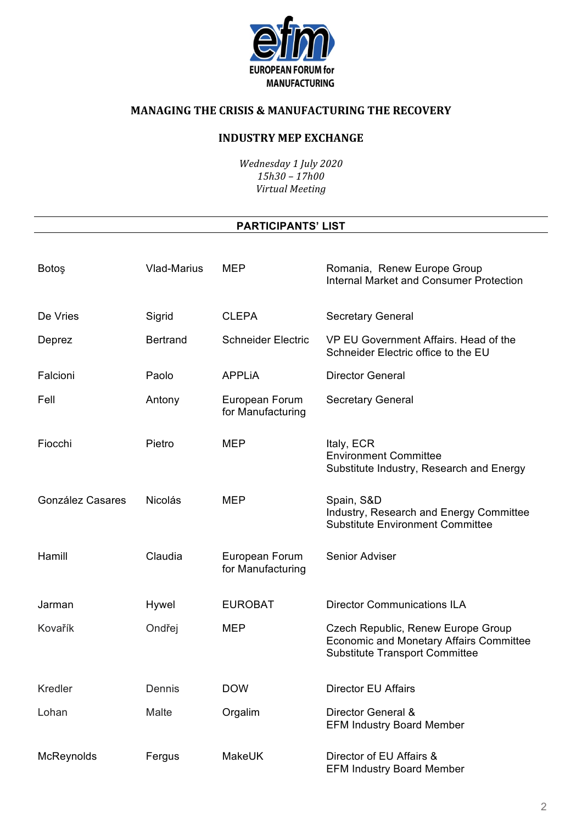

### **INDUSTRY MEP EXCHANGE**

Wednesday 1 July 2020  $15h30 - 17h00$ Virtual Meeting

#### **PARTICIPANTS' LIST**

| Botoş            | <b>Vlad-Marius</b> | <b>MEP</b>                          | Romania, Renew Europe Group<br><b>Internal Market and Consumer Protection</b>                                                 |
|------------------|--------------------|-------------------------------------|-------------------------------------------------------------------------------------------------------------------------------|
| De Vries         | Sigrid             | <b>CLEPA</b>                        | <b>Secretary General</b>                                                                                                      |
| Deprez           | <b>Bertrand</b>    | <b>Schneider Electric</b>           | VP EU Government Affairs. Head of the<br>Schneider Electric office to the EU                                                  |
| Falcioni         | Paolo              | <b>APPLIA</b>                       | <b>Director General</b>                                                                                                       |
| Fell             | Antony             | European Forum<br>for Manufacturing | <b>Secretary General</b>                                                                                                      |
| Fiocchi          | Pietro             | <b>MEP</b>                          | Italy, ECR<br><b>Environment Committee</b><br>Substitute Industry, Research and Energy                                        |
| González Casares | <b>Nicolás</b>     | <b>MEP</b>                          | Spain, S&D<br>Industry, Research and Energy Committee<br><b>Substitute Environment Committee</b>                              |
| Hamill           | Claudia            | European Forum<br>for Manufacturing | Senior Adviser                                                                                                                |
| Jarman           | Hywel              | <b>EUROBAT</b>                      | <b>Director Communications ILA</b>                                                                                            |
| Kovařík          | Ondřej             | <b>MEP</b>                          | Czech Republic, Renew Europe Group<br><b>Economic and Monetary Affairs Committee</b><br><b>Substitute Transport Committee</b> |
| <b>Kredler</b>   | Dennis             | <b>DOW</b>                          | <b>Director EU Affairs</b>                                                                                                    |
| Lohan            | Malte              | Orgalim                             | Director General &<br><b>EFM Industry Board Member</b>                                                                        |
| McReynolds       | Fergus             | <b>MakeUK</b>                       | Director of EU Affairs &<br><b>EFM Industry Board Member</b>                                                                  |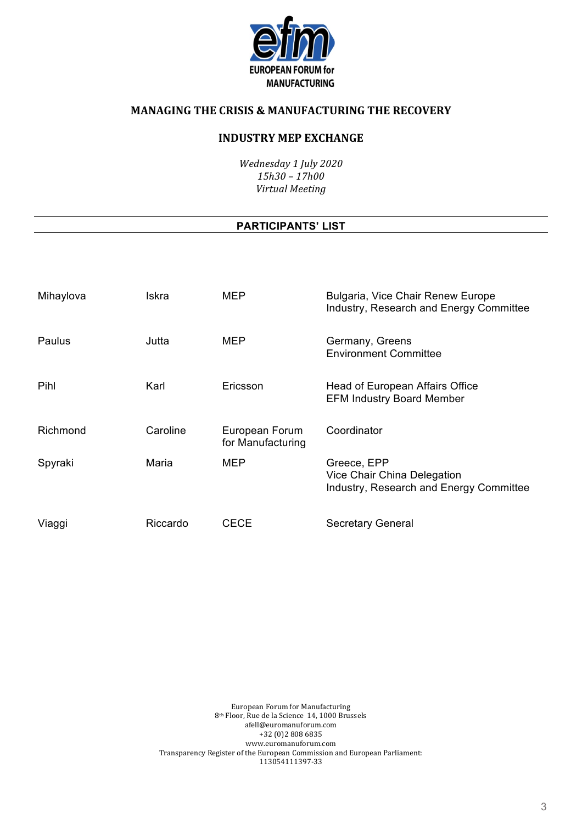

#### **INDUSTRY MEP EXCHANGE**

*Wednesday 1 July 2020 15h30 – 17h00 Virtual Meeting*

#### **PARTICIPANTS' LIST**

| Mihaylova | Iskra    | <b>MEP</b>                          | Bulgaria, Vice Chair Renew Europe<br>Industry, Research and Energy Committee          |
|-----------|----------|-------------------------------------|---------------------------------------------------------------------------------------|
| Paulus    | Jutta    | <b>MEP</b>                          | Germany, Greens<br><b>Environment Committee</b>                                       |
| Pihl      | Karl     | Ericsson                            | Head of European Affairs Office<br><b>EFM Industry Board Member</b>                   |
| Richmond  | Caroline | European Forum<br>for Manufacturing | Coordinator                                                                           |
| Spyraki   | Maria    | <b>MEP</b>                          | Greece, EPP<br>Vice Chair China Delegation<br>Industry, Research and Energy Committee |
| Viaggi    | Riccardo | CECE                                | <b>Secretary General</b>                                                              |

European Forum for Manufacturing 8<sup>th</sup> Floor, Rue de la Science 14, 1000 Brussels afell@euromanuforum.com +32 (0)2 808 6835 www.euromanuforum.com Transparency Register of the European Commission and European Parliament: 113054111397-33